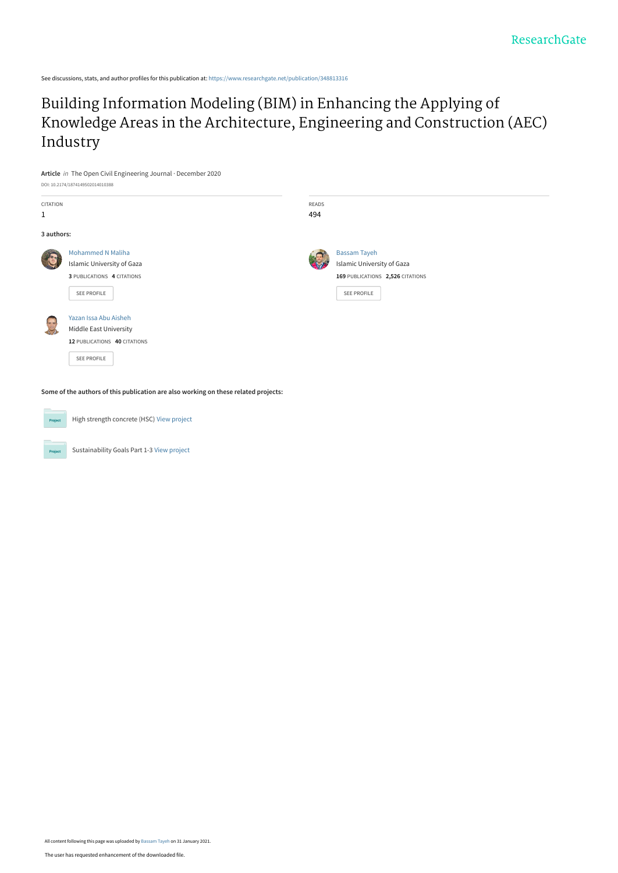See discussions, stats, and author profiles for this publication at: [https://www.researchgate.net/publication/348813316](https://www.researchgate.net/publication/348813316_Building_Information_Modeling_BIM_in_Enhancing_the_Applying_of_Knowledge_Areas_in_the_Architecture_Engineering_and_Construction_AEC_Industry?enrichId=rgreq-97b4cc80ae3c39eb43590ece77d46c2b-XXX&enrichSource=Y292ZXJQYWdlOzM0ODgxMzMxNjtBUzo5ODU5NDIxNTIyMDAxOTJAMTYxMjA3ODMzNTEzNg%3D%3D&el=1_x_2&_esc=publicationCoverPdf)

# Building Information Modeling (BIM) in Enhancing the Applying of [Knowledge Areas in the Architecture, Engineering and Construction \(AEC\)](https://www.researchgate.net/publication/348813316_Building_Information_Modeling_BIM_in_Enhancing_the_Applying_of_Knowledge_Areas_in_the_Architecture_Engineering_and_Construction_AEC_Industry?enrichId=rgreq-97b4cc80ae3c39eb43590ece77d46c2b-XXX&enrichSource=Y292ZXJQYWdlOzM0ODgxMzMxNjtBUzo5ODU5NDIxNTIyMDAxOTJAMTYxMjA3ODMzNTEzNg%3D%3D&el=1_x_3&_esc=publicationCoverPdf) Industry

**Article** in The Open Civil Engineering Journal · December 2020 DOI: 10.2174/1874149502014010388 CITATION 1 READS 494 **3 authors: Some of the authors of this publication are also working on these related projects:** [Mohammed N Maliha](https://www.researchgate.net/profile/Mohammed-Maliha-2?enrichId=rgreq-97b4cc80ae3c39eb43590ece77d46c2b-XXX&enrichSource=Y292ZXJQYWdlOzM0ODgxMzMxNjtBUzo5ODU5NDIxNTIyMDAxOTJAMTYxMjA3ODMzNTEzNg%3D%3D&el=1_x_5&_esc=publicationCoverPdf) [Islamic University of Gaza](https://www.researchgate.net/institution/Islamic_University_of_Gaza?enrichId=rgreq-97b4cc80ae3c39eb43590ece77d46c2b-XXX&enrichSource=Y292ZXJQYWdlOzM0ODgxMzMxNjtBUzo5ODU5NDIxNTIyMDAxOTJAMTYxMjA3ODMzNTEzNg%3D%3D&el=1_x_6&_esc=publicationCoverPdf) **3** PUBLICATIONS **4** CITATIONS [SEE PROFILE](https://www.researchgate.net/profile/Mohammed-Maliha-2?enrichId=rgreq-97b4cc80ae3c39eb43590ece77d46c2b-XXX&enrichSource=Y292ZXJQYWdlOzM0ODgxMzMxNjtBUzo5ODU5NDIxNTIyMDAxOTJAMTYxMjA3ODMzNTEzNg%3D%3D&el=1_x_7&_esc=publicationCoverPdf) [Bassam Tayeh](https://www.researchgate.net/profile/Bassam-Tayeh?enrichId=rgreq-97b4cc80ae3c39eb43590ece77d46c2b-XXX&enrichSource=Y292ZXJQYWdlOzM0ODgxMzMxNjtBUzo5ODU5NDIxNTIyMDAxOTJAMTYxMjA3ODMzNTEzNg%3D%3D&el=1_x_5&_esc=publicationCoverPdf) [Islamic University of Gaza](https://www.researchgate.net/institution/Islamic_University_of_Gaza?enrichId=rgreq-97b4cc80ae3c39eb43590ece77d46c2b-XXX&enrichSource=Y292ZXJQYWdlOzM0ODgxMzMxNjtBUzo5ODU5NDIxNTIyMDAxOTJAMTYxMjA3ODMzNTEzNg%3D%3D&el=1_x_6&_esc=publicationCoverPdf) **169** PUBLICATIONS **2,526** CITATIONS [SEE PROFILE](https://www.researchgate.net/profile/Bassam-Tayeh?enrichId=rgreq-97b4cc80ae3c39eb43590ece77d46c2b-XXX&enrichSource=Y292ZXJQYWdlOzM0ODgxMzMxNjtBUzo5ODU5NDIxNTIyMDAxOTJAMTYxMjA3ODMzNTEzNg%3D%3D&el=1_x_7&_esc=publicationCoverPdf) [Yazan Issa Abu Aisheh](https://www.researchgate.net/profile/Yazan-Abu-Aisheh?enrichId=rgreq-97b4cc80ae3c39eb43590ece77d46c2b-XXX&enrichSource=Y292ZXJQYWdlOzM0ODgxMzMxNjtBUzo5ODU5NDIxNTIyMDAxOTJAMTYxMjA3ODMzNTEzNg%3D%3D&el=1_x_5&_esc=publicationCoverPdf) [Middle East University](https://www.researchgate.net/institution/Middle_East_University2?enrichId=rgreq-97b4cc80ae3c39eb43590ece77d46c2b-XXX&enrichSource=Y292ZXJQYWdlOzM0ODgxMzMxNjtBUzo5ODU5NDIxNTIyMDAxOTJAMTYxMjA3ODMzNTEzNg%3D%3D&el=1_x_6&_esc=publicationCoverPdf) **12** PUBLICATIONS **40** CITATIONS [SEE PROFILE](https://www.researchgate.net/profile/Yazan-Abu-Aisheh?enrichId=rgreq-97b4cc80ae3c39eb43590ece77d46c2b-XXX&enrichSource=Y292ZXJQYWdlOzM0ODgxMzMxNjtBUzo5ODU5NDIxNTIyMDAxOTJAMTYxMjA3ODMzNTEzNg%3D%3D&el=1_x_7&_esc=publicationCoverPdf)



High strength concrete (HSC) [View project](https://www.researchgate.net/project/High-strength-concrete-HSC?enrichId=rgreq-97b4cc80ae3c39eb43590ece77d46c2b-XXX&enrichSource=Y292ZXJQYWdlOzM0ODgxMzMxNjtBUzo5ODU5NDIxNTIyMDAxOTJAMTYxMjA3ODMzNTEzNg%3D%3D&el=1_x_9&_esc=publicationCoverPdf)

Sustainability Goals Part 1-3 [View project](https://www.researchgate.net/project/Sustainability-Goals-Part-1-3?enrichId=rgreq-97b4cc80ae3c39eb43590ece77d46c2b-XXX&enrichSource=Y292ZXJQYWdlOzM0ODgxMzMxNjtBUzo5ODU5NDIxNTIyMDAxOTJAMTYxMjA3ODMzNTEzNg%3D%3D&el=1_x_9&_esc=publicationCoverPdf)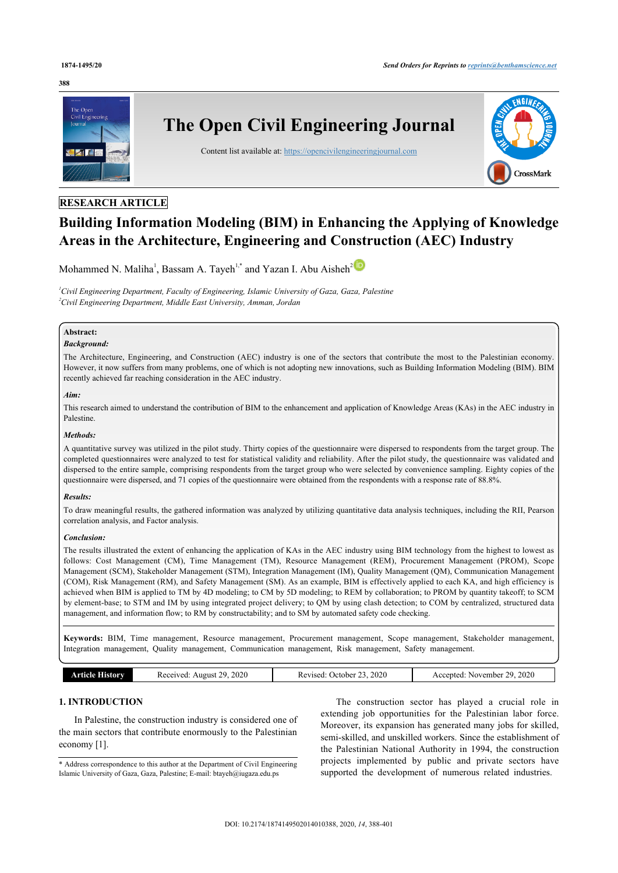#### **388**



# **RESEARCH ARTICLE**

# **Building Information Modeling (BIM) in Enhancing the Applying of Knowledge Areas in the Architecture, Engineering and Construction (AEC) Industry**

Mohammed N. Maliha<sup>[1](#page-1-0)</sup>, Bassam A. Tayeh<sup>1,[\\*](#page-1-1)</sup> and Yazan I. Abu Aisheh<sup>[2](#page-1-2)</sup>

<span id="page-1-2"></span><span id="page-1-0"></span>*<sup>1</sup>Civil Engineering Department, Faculty of Engineering, Islamic University of Gaza, Gaza, Palestine <sup>2</sup>Civil Engineering Department, Middle East University, Amman, Jordan*

# **Abstract:**

# *Background:*

The Architecture, Engineering, and Construction (AEC) industry is one of the sectors that contribute the most to the Palestinian economy. However, it now suffers from many problems, one of which is not adopting new innovations, such as Building Information Modeling (BIM). BIM recently achieved far reaching consideration in the AEC industry.

#### *Aim:*

This research aimed to understand the contribution of BIM to the enhancement and application of Knowledge Areas (KAs) in the AEC industry in Palestine.

#### *Methods:*

A quantitative survey was utilized in the pilot study. Thirty copies of the questionnaire were dispersed to respondents from the target group. The completed questionnaires were analyzed to test for statistical validity and reliability. After the pilot study, the questionnaire was validated and dispersed to the entire sample, comprising respondents from the target group who were selected by convenience sampling. Eighty copies of the questionnaire were dispersed, and 71 copies of the questionnaire were obtained from the respondents with a response rate of 88.8%.

#### *Results:*

To draw meaningful results, the gathered information was analyzed by utilizing quantitative data analysis techniques, including the RII, Pearson correlation analysis, and Factor analysis.

### *Conclusion:*

The results illustrated the extent of enhancing the application of KAs in the AEC industry using BIM technology from the highest to lowest as follows: Cost Management (CM), Time Management (TM), Resource Management (REM), Procurement Management (PROM), Scope Management (SCM), Stakeholder Management (STM), Integration Management (IM), Quality Management (QM), Communication Management (COM), Risk Management (RM), and Safety Management (SM). As an example, BIM is effectively applied to each KA, and high efficiency is achieved when BIM is applied to TM by 4D modeling; to CM by 5D modeling; to REM by collaboration; to PROM by quantity takeoff; to SCM by element-base; to STM and IM by using integrated project delivery; to QM by using clash detection; to COM by centralized, structured data management, and information flow; to RM by constructability; and to SM by automated safety code checking.

**Keywords:** BIM, Time management, Resource management, Procurement management, Scope management, Stakeholder management, Integration management, Quality management, Communication management, Risk management, Safety management.

| $\overline{\phantom{a}}$<br>Received<br>TRIOTY.<br><b>Exicle</b> in | 2020<br>20<br>August<br>Revised | 2020<br>Accepted:<br>. Jetober | 2020<br>$20^{\circ}$<br>November<br>--- |
|---------------------------------------------------------------------|---------------------------------|--------------------------------|-----------------------------------------|
|---------------------------------------------------------------------|---------------------------------|--------------------------------|-----------------------------------------|

# **1. INTRODUCTION**

In Palestine, the construction industry is considered one of the main sectors that contribute enormously to the Palestinian economy [[1](#page-13-0)].

<span id="page-1-3"></span><span id="page-1-1"></span>\* Address correspondence to this author at the Department of Civil Engineering Islamic University of Gaza, Gaza, Palestine; E-mail: [btayeh@iugaza.edu.ps](mailto:btayeh@iugaza.edu.ps)

The construction sector has played a crucial role in extending job opportunities for the Palestinian labor force. Moreover, its expansion has generated many jobs for skilled, semi-skilled, and unskilled workers. Since the establishment of the Palestinian National Authority in 1994, the construction projects implemented by public and private sectors have supported the development of numerous related industries.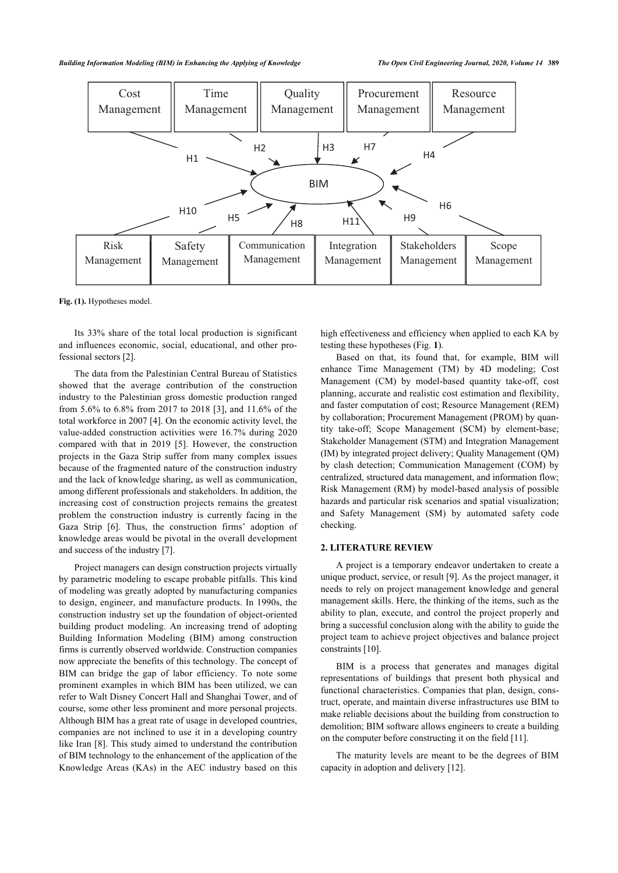*Building Information Modeling (BIM) in Enhancing the Applying of Knowledge The Open Civil Engineering Journal, 2020, Volume 14* **389**



Fig. (1). Hypotheses model.

Its 33% share of the total local production is significant and influences economic, social, educational, and other professional sectors [\[2\]](#page-13-1).

The data from the Palestinian Central Bureau of Statistics showed that the average contribution of the construction industry to the Palestinian gross domestic production ranged from 5.6% to 6.8% from 2017 to 2018 [[3](#page-13-2)], and 11.6% of the total workforce in 2007 [\[4\]](#page-13-3). On the economic activity level, the value-added construction activities were 16.7% during 2020 compared with that in 2019[[5](#page-13-4)]. However, the construction projects in the Gaza Strip suffer from many complex issues because of the fragmented nature of the construction industry and the lack of knowledge sharing, as well as communication, among different professionals and stakeholders. In addition, the increasing cost of construction projects remains the greatest problem the construction industry is currently facing in the Gaza Strip[[6](#page-13-5)]. Thus, the construction firms' adoption of knowledge areas would be pivotal in the overall development and success of the industry [[7](#page-13-6)].

<span id="page-2-0"></span>Project managers can design construction projects virtually by parametric modeling to escape probable pitfalls. This kind of modeling was greatly adopted by manufacturing companies to design, engineer, and manufacture products. In 1990s, the construction industry set up the foundation of object-oriented building product modeling. An increasing trend of adopting Building Information Modeling (BIM) among construction firms is currently observed worldwide. Construction companies now appreciate the benefits of this technology. The concept of BIM can bridge the gap of labor efficiency. To note some prominent examples in which BIM has been utilized, we can refer to Walt Disney Concert Hall and Shanghai Tower, and of course, some other less prominent and more personal projects. Although BIM has a great rate of usage in developed countries, companies are not inclined to use it in a developing country like Iran [[8\]](#page-13-7). This study aimed to understand the contribution of BIM technology to the enhancement of the application of the Knowledge Areas (KAs) in the AEC industry based on this high effectiveness and efficiency when applied to each KA by testing these hypotheses (Fig. **[1](#page-1-3)**).

Based on that, its found that, for example, BIM will enhance Time Management (TM) by 4D modeling; Cost Management (CM) by model-based quantity take-off, cost planning, accurate and realistic cost estimation and flexibility, and faster computation of cost; Resource Management (REM) by collaboration; Procurement Management (PROM) by quantity take-off; Scope Management (SCM) by element-base; Stakeholder Management (STM) and Integration Management (IM) by integrated project delivery; Quality Management (QM) by clash detection; Communication Management (COM) by centralized, structured data management, and information flow; Risk Management (RM) by model-based analysis of possible hazards and particular risk scenarios and spatial visualization; and Safety Management (SM) by automated safety code checking.

### **2. LITERATURE REVIEW**

A project is a temporary endeavor undertaken to create a unique product, service, or result [\[9\]](#page-13-8). As the project manager, it needs to rely on project management knowledge and general management skills. Here, the thinking of the items, such as the ability to plan, execute, and control the project properly and bring a successful conclusion along with the ability to guide the project tea[m to](#page-13-9) achieve project objectives and balance project constraints [10].

BIM is a process that generates and manages digital representations of buildings that present both physical and functional characteristics. Companies that plan, design, construct, operate, and maintain diverse infrastructures use BIM to make reliable decisions about the building from construction to demolition; BIM software allows engineers to crea[te a](#page-13-10) building on the computer before constructing it on the field [11].

The maturity levels are mea[nt t](#page-13-11)o be the degrees of BIM capacity in adoption and delivery [12].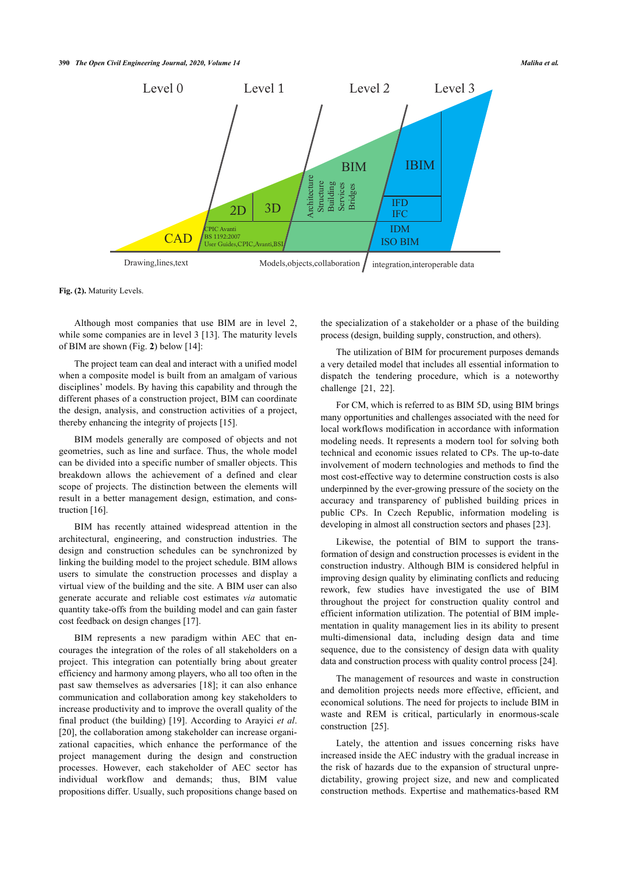#### **390** *The Open Civil Engineering Journal, 2020, Volume 14 Maliha et al.*



**Fig. (2).** Maturity Levels.

Although most companies that use BIM are in level 2, while some companies are in level 3 [\[13](#page-13-12)]. The maturity levels of BIM are shown (Fig. **[2](#page-2-0)**) below [\[14](#page-13-13)]:

The project team can deal and interact with a unified model when a composite model is built from an amalgam of various disciplines' models. By having this capability and through the different phases of a construction project, BIM can coordinate the design, analysis, and construction activities of a project, thereby enhancing the integrity of projects [[15\]](#page-13-14).

BIM models generally are composed of objects and not geometries, such as line and surface. Thus, the whole model can be divided into a specific number of smaller objects. This breakdown allows the achievement of a defined and clear scope of projects. The distinction between the elements will result in a better management design, estimation, and construction [[16\]](#page-13-15).

BIM has recently attained widespread attention in the architectural, engineering, and construction industries. The design and construction schedules can be synchronized by linking the building model to the project schedule. BIM allows users to simulate the construction processes and display a virtual view of the building and the site. A BIM user can also generate accurate and reliable cost estimates *via* automatic quantity take-offs from the building model and can gain faster cost feedback on design changes [\[17](#page-13-16)].

BIM represents a new paradigm within AEC that encourages the integration of the roles of all stakeholders on a project. This integration can potentially bring about greater efficiency and harmony among players, who all too often in the past saw themselves as adversaries [\[18\]](#page-13-17); it can also enhance communication and collaboration among key stakeholders to increase productivity and to improve the overall quality of the final product (the building) [[19](#page-13-18)]. According to Arayici *et al*. [[20\]](#page-13-19), the collaboration among stakeholder can increase organizational capacities, which enhance the performance of the project management during the design and construction processes. However, each stakeholder of AEC sector has individual workflow and demands; thus, BIM value propositions differ. Usually, such propositions change based on

the specialization of a stakeholder or a phase of the building process (design, building supply, construction, and others).

The utilization of BIM for procurement purposes demands a very detailed model that includes all essential information to dispatch the tendering procedure, which is a noteworthy challenge[[21,](#page-13-20) [22](#page-13-21)].

For CM, which is referred to as BIM 5D, using BIM brings many opportunities and challenges associated with the need for local workflows modification in accordance with information modeling needs. It represents a modern tool for solving both technical and economic issues related to CPs. The up-to-date involvement of modern technologies and methods to find the most cost-effective way to determine construction costs is also underpinned by the ever-growing pressure of the society on the accuracy and transparency of published building prices in public CPs. In Czech Republic, information modeling is developing in almost all construction sectors and phases [\[23](#page-13-22)].

Likewise, the potential of BIM to support the transformation of design and construction processes is evident in the construction industry. Although BIM is considered helpful in improving design quality by eliminating conflicts and reducing rework, few studies have investigated the use of BIM throughout the project for construction quality control and efficient information utilization. The potential of BIM implementation in quality management lies in its ability to present multi-dimensional data, including design data and time sequence, due to the consistency of design data with quality data and construction process with quality control process [[24\]](#page-13-23).

The management of resources and waste in construction and demolition projects needs more effective, efficient, and economical solutions. The need for projects to include BIM in waste and REM is critical, particularly in enormous-scale construction[[25\]](#page-13-24).

Lately, the attention and issues concerning risks have increased inside the AEC industry with the gradual increase in the risk of hazards due to the expansion of structural unpredictability, growing project size, and new and complicated construction methods. Expertise and mathematics-based RM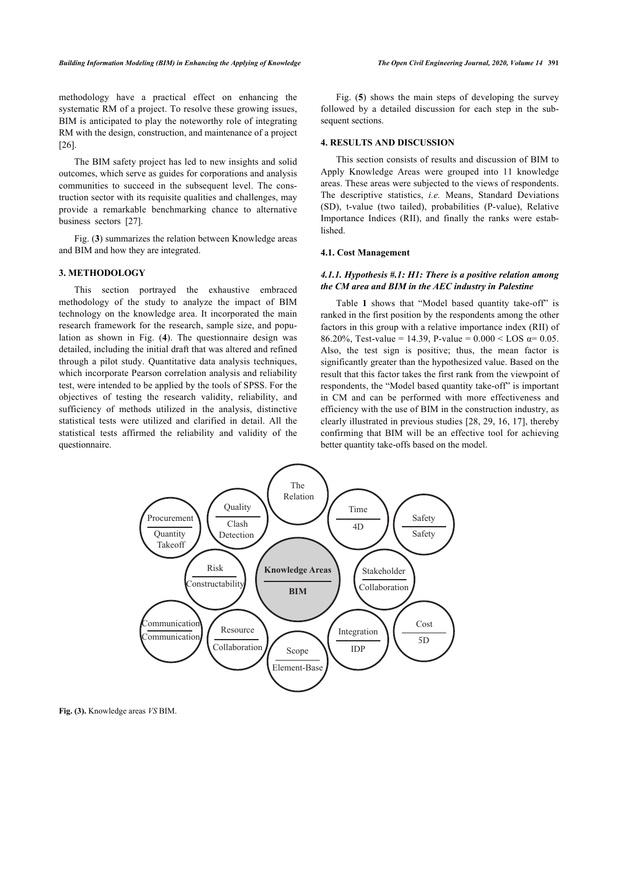methodology have a practical effect on enhancing the systematic RM of a project. To resolve these growing issues, BIM is anticipated to play the noteworthy role of integrating RM with the design, construction, and maintenance of a project [[26\]](#page-13-25).

The BIM safety project has led to new insights and solid outcomes, which serve as guides for corporations and analysis communities to succeed in the subsequent level. The construction sector with its requisite qualities and challenges, may provide a remarkable benchmarking chance to alternative business sectors[[27\]](#page-13-1).

Fig. (**[3](#page-4-0)**) summarizes the relation between Knowledge areas and BIM and how they are integrated.

# **3. METHODOLOGY**

This section portrayed the exhaustive embraced methodology of the study to analyze the impact of BIM technology on the knowledge area. It incorporated the main research framework for the research, sample size, and population as shown in Fig. (**[4](#page-4-1)**). The questionnaire design was detailed, including the initial draft that was altered and refined through a pilot study. Quantitative data analysis techniques, which incorporate Pearson correlation analysis and reliability test, were intended to be applied by the tools of SPSS. For the objectives of testing the research validity, reliability, and sufficiency of methods utilized in the analysis, distinctive statistical tests were utilized and clarified in detail. All the statistical tests affirmed the reliability and validity of the questionnaire.

Fig. (**[5](#page-5-0)**) shows the main steps of developing the survey followed by a detailed discussion for each step in the subsequent sections.

# **4. RESULTS AND DISCUSSION**

This section consists of results and discussion of BIM to Apply Knowledge Areas were grouped into 11 knowledge areas. These areas were subjected to the views of respondents. The descriptive statistics, *i.e.* Means, Standard Deviations (SD), t-value (two tailed), probabilities (P-value), Relative Importance Indices (RII), and finally the ranks were established.

#### **4.1. Cost Management**

# *4.1.1. Hypothesis #.1: H1: There is a positive relation among the CM area and BIM in the AEC industry in Palestine*

Table**1** shows that "Model based quantity take-off" is ranked in the first position by the respondents among the other factors in this group with a relative importance index (RII) of 86.20%, Test-value = 14.39, P-value =  $0.000 \leq$  LOS  $\alpha$ = 0.05. Also, the test sign is positive; thus, the mean factor is significantly greater than the hypothesized value. Based on the result that this factor takes the first rank from the viewpoint of respondents, the "Model based quantity take-off" is important in CM and can be performed with more effectiveness and efficiency with the use of BIM in the construction industry, as clearly illustrated in previous studies [[28,](#page-13-26) [29,](#page-13-27) [16,](#page-13-15) [17](#page-13-16)], thereby confirming that BIM will be an effective tool for achieving better quantity take-offs based on the model.

<span id="page-4-0"></span>

<span id="page-4-1"></span>**Fig. (3).** Knowledge areas *VS* BIM.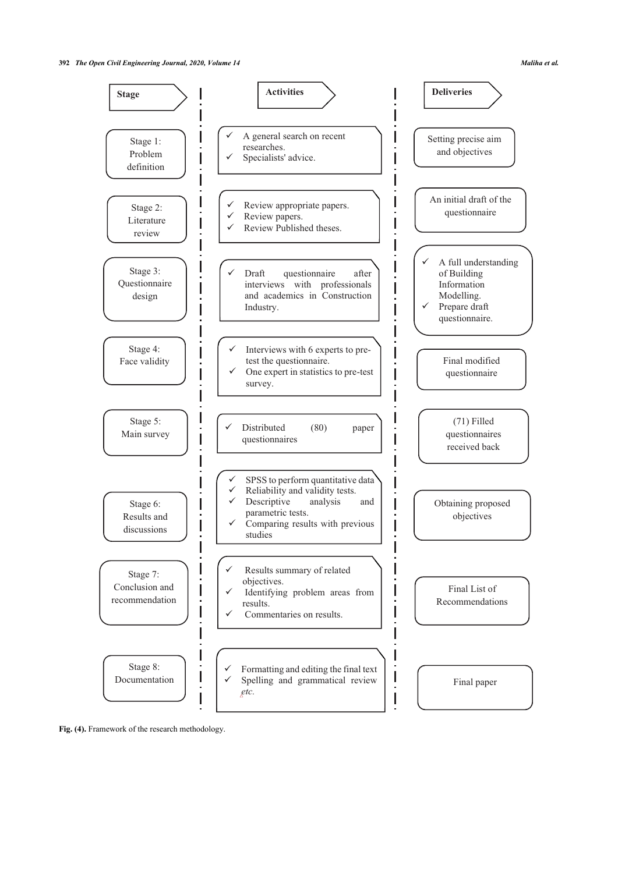

<span id="page-5-0"></span>Fig. (4). Framework of the research methodology.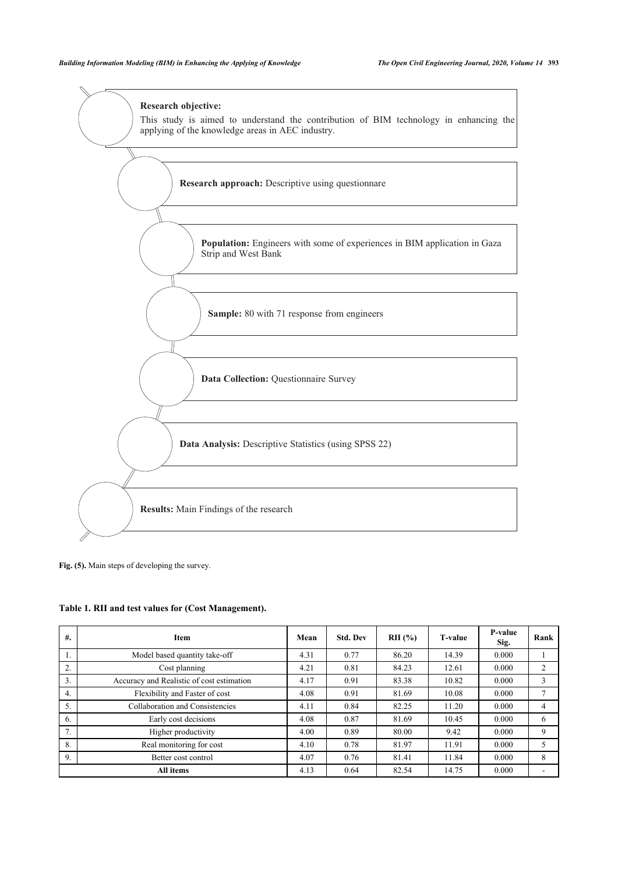

**Fig. (5).** Main steps of developing the survey.

# <span id="page-6-0"></span>**Table 1. RII and test values for (Cost Management).**

| $#$ . | <b>Item</b>                               | Mean | <b>Std. Dev</b> | RII(%) | <b>T-value</b> | P-value<br>Sig. | Rank |
|-------|-------------------------------------------|------|-----------------|--------|----------------|-----------------|------|
| 1.    | Model based quantity take-off             | 4.31 | 0.77            | 86.20  | 14.39          | 0.000           |      |
| 2.    | Cost planning                             | 4.21 | 0.81            | 84.23  | 12.61          | 0.000           |      |
| 3.    | Accuracy and Realistic of cost estimation | 4.17 | 0.91            | 83.38  | 10.82          | 0.000           | 3    |
| 4.    | Flexibility and Faster of cost            | 4.08 | 0.91            | 81.69  | 10.08          | 0.000           | ┑    |
| 5.    | Collaboration and Consistencies           | 4.11 | 0.84            | 82.25  | 11.20          | 0.000           | 4    |
| 6.    | Early cost decisions                      | 4.08 | 0.87            | 81.69  | 10.45          | 0.000           | 6    |
| 7.    | Higher productivity                       | 4.00 | 0.89            | 80.00  | 9.42           | 0.000           | 9    |
| 8.    | Real monitoring for cost                  | 4.10 | 0.78            | 81.97  | 11.91          | 0.000           |      |
| 9.    | Better cost control                       | 4.07 | 0.76            | 81.41  | 11.84          | 0.000           | 8    |
|       | All items                                 | 4.13 | 0.64            | 82.54  | 14.75          | 0.000           |      |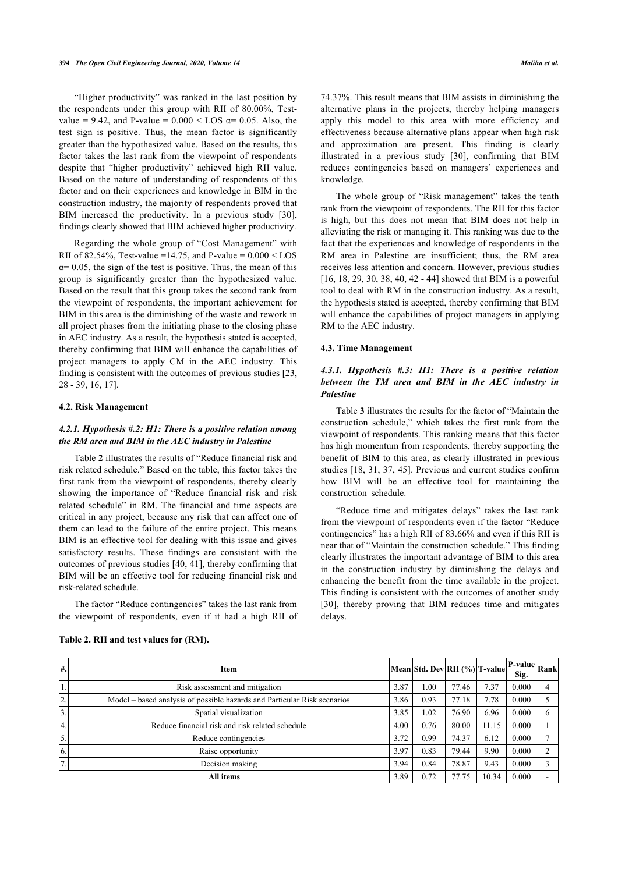"Higher productivity" was ranked in the last position by the respondents under this group with RII of 80.00%, Testvalue = 9.42, and P-value =  $0.000 \leq$  LOS  $\alpha$ = 0.05. Also, the test sign is positive. Thus, the mean factor is significantly greater than the hypothesized value. Based on the results, this factor takes the last rank from the viewpoint of respondents despite that "higher productivity" achieved high RII value. Based on the nature of understanding of respondents of this factor and on their experiences and knowledge in BIM in the construction industry, the majority of respondents proved that BIM increased the productivity. In a previous study[[30\]](#page-13-28), findings clearly showed that BIM achieved higher productivity.

Regarding the whole group of "Cost Management" with RII of 82.54%, Test-value =14.75, and P-value =  $0.000 <$  LOS  $\alpha$ = 0.05, the sign of the test is positive. Thus, the mean of this group is significantly greater than the hypothesized value. Based on the result that this group takes the second rank from the viewpoint of respondents, the important achievement for BIM in this area is the diminishing of the waste and rework in all project phases from the initiating phase to the closing phase in AEC industry. As a result, the hypothesis stated is accepted, thereby confirming that BIM will enhance the capabilities of project managers to apply CM in the AEC industry. This finding is consistent with the outcomes of previous studies [[23](#page-13-22), [28](#page-13-26) - [39](#page-13-29), [16,](#page-13-15) [17](#page-13-16)].

# **4.2. Risk Management**

# *4.2.1. Hypothesis #.2: H1: There is a positive relation among the RM area and BIM in the AEC industry in Palestine*

Table **[2](#page-7-0)** illustrates the results of "Reduce financial risk and risk related schedule." Based on the table, this factor takes the first rank from the viewpoint of respondents, thereby clearly showing the importance of "Reduce financial risk and risk related schedule" in RM. The financial and time aspects are critical in any project, because any risk that can affect one of them can lead to the failure of the entire project. This means BIM is an effective tool for dealing with this issue and gives satisfactory results. These findings are consistent with the outcomes of previous studies [[40](#page-13-30), [41\]](#page-13-31), thereby confirming that BIM will be an effective tool for reducing financial risk and risk-related schedule.

The factor "Reduce contingencies" takes the last rank from the viewpoint of respondents, even if it had a high RII of

74.37%. This result means that BIM assists in diminishing the alternative plans in the projects, thereby helping managers apply this model to this area with more efficiency and effectiveness because alternative plans appear when high risk and approximation are present. This finding is clearly illustrated in a previous study[[30](#page-13-28)], confirming that BIM reduces contingencies based on managers' experiences and knowledge.

The whole group of "Risk management" takes the tenth rank from the viewpoint of respondents. The RII for this factor is high, but this does not mean that BIM does not help in alleviating the risk or managing it. This ranking was due to the fact that the experiences and knowledge of respondents in the RM area in Palestine are insufficient; thus, the RM area receives less attention and concern. However, previous studies [[16](#page-13-15), [18,](#page-13-17) [29,](#page-13-27) [30](#page-13-28), [38,](#page-13-32) [40,](#page-13-30) [42](#page-13-33) - [44](#page-14-0)] showed that BIM is a powerful tool to deal with RM in the construction industry. As a result, the hypothesis stated is accepted, thereby confirming that BIM will enhance the capabilities of project managers in applying RM to the AEC industry.

#### **4.3. Time Management**

# *4.3.1. Hypothesis #.3: H1: There is a positive relation between the TM area and BIM in the AEC industry in Palestine*

Table **[3](#page-8-0)** illustrates the results for the factor of "Maintain the construction schedule," which takes the first rank from the viewpoint of respondents. This ranking means that this factor has high momentum from respondents, thereby supporting the benefit of BIM to this area, as clearly illustrated in previous studies [[18,](#page-13-17) [31](#page-13-34), [37](#page-13-35), [45\]](#page-14-1). Previous and current studies confirm how BIM will be an effective tool for maintaining the construction schedule.

"Reduce time and mitigates delays" takes the last rank from the viewpoint of respondents even if the factor "Reduce contingencies" has a high RII of 83.66% and even if this RII is near that of "Maintain the construction schedule." This finding clearly illustrates the important advantage of BIM to this area in the construction industry by diminishing the delays and enhancing the benefit from the time available in the project. This finding is consistent with the outcomes of another study [[30](#page-13-28)], thereby proving that BIM reduces time and mitigates delays.

| #.                        | Item                                                                     |      | Mean Std. Dev RII (%) T-value |       |       | $ P-value $ Rank<br>Sig. |   |
|---------------------------|--------------------------------------------------------------------------|------|-------------------------------|-------|-------|--------------------------|---|
| $\overline{1}$ .          | Risk assessment and mitigation                                           | 3.87 | 00.                           | 77.46 | 7.37  | 0.000                    |   |
| $\overline{2}$ .          | Model - based analysis of possible hazards and Particular Risk scenarios | 3.86 | 0.93                          | 77.18 | 7.78  | 0.000                    |   |
| $\overline{\overline{3}}$ | Spatial visualization                                                    | 3.85 | l.02                          | 76.90 | 6.96  | 0.000                    | 6 |
| 4.                        | Reduce financial risk and risk related schedule                          | 4.00 | 0.76                          | 80.00 | 11.15 | 0.000                    |   |
| $\overline{5}$            | Reduce contingencies                                                     | 3.72 | 0.99                          | 74.37 | 6.12  | 0.000                    |   |
| $\overline{6}$ .          | Raise opportunity                                                        | 3.97 | 0.83                          | 79.44 | 9.90  | 0.000                    |   |
| $\overline{7}$ .          | Decision making                                                          | 3.94 | 0.84                          | 78.87 | 9.43  | 0.000                    |   |
|                           | All items                                                                | 3.89 | 0.72                          | 77.75 | 10.34 | 0.000                    |   |

# <span id="page-7-0"></span>**Table 2. RII and test values for (RM).**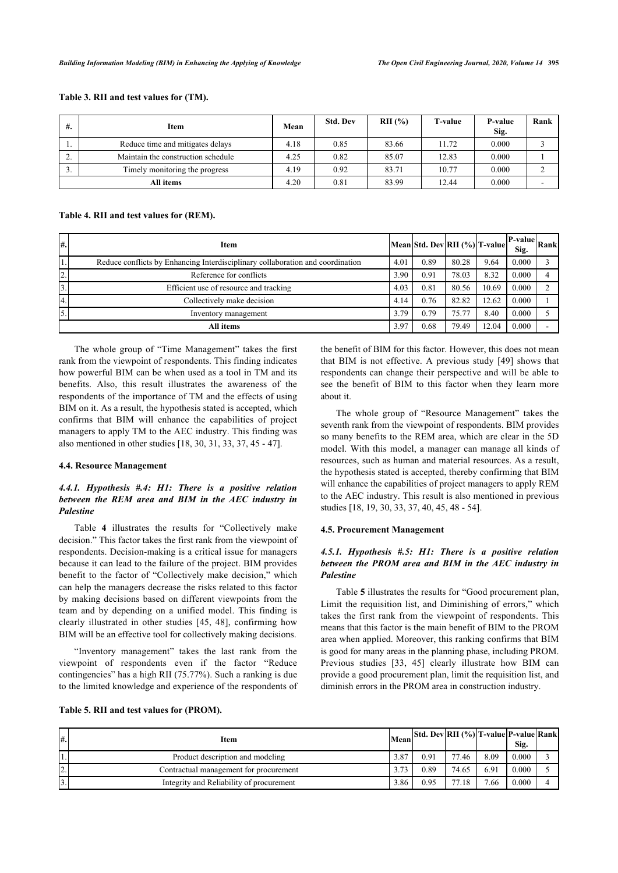<span id="page-8-0"></span>

| Table 3. RII and test values for (TM). |  |  |  |  |  |  |
|----------------------------------------|--|--|--|--|--|--|
|----------------------------------------|--|--|--|--|--|--|

| $#$ . | Item                               | Mean | <b>Std. Dev</b> | RII(%) | <b>T-value</b> | P-value<br>Sig. | Rank |
|-------|------------------------------------|------|-----------------|--------|----------------|-----------------|------|
|       | Reduce time and mitigates delays   | 4.18 | 0.85            | 83.66  | 11.72          | 0.000           |      |
| ٠.    | Maintain the construction schedule | 4.25 | 0.82            | 85.07  | 12.83          | 0.000           |      |
| . ر   | Timely monitoring the progress     | 4.19 | 0.92            | 83.71  | 10.77          | 0.000           |      |
|       | All items                          | 4.20 | 0.81            | 83.99  | 12.44          | 0.000           |      |

#### <span id="page-8-1"></span>**Table 4. RII and test values for (REM).**

| ₩.            | Item                                                                           |      | Mean Std. Dev RII (%) T-value |       |       | $ P-value $<br>Sig. | <b>Rank</b> |
|---------------|--------------------------------------------------------------------------------|------|-------------------------------|-------|-------|---------------------|-------------|
|               | Reduce conflicts by Enhancing Interdisciplinary collaboration and coordination | 4.01 | 0.89                          | 80.28 | 9.64  | 0.000               |             |
| $\sim$<br>ız. | Reference for conflicts                                                        | 3.90 | 0.91                          | 78.03 | 8.32  | 0.000               |             |
| 3.            | Efficient use of resource and tracking                                         | 4.03 | 0.81                          | 80.56 | 10.69 | 0.000               |             |
| 4.            | Collectively make decision                                                     | 4.14 | 0.76                          | 82.82 | 12.62 | 0.000               |             |
| 5.            | Inventory management                                                           | 3.79 | 0.79                          | 75.77 | 8.40  | 0.000               |             |
|               | All items                                                                      | 3.97 | 0.68                          | 79.49 | 12.04 | 0.000               |             |

The whole group of "Time Management" takes the first rank from the viewpoint of respondents. This finding indicates how powerful BIM can be when used as a tool in TM and its benefits. Also, this result illustrates the awareness of the respondents of the importance of TM and the effects of using BIM on it. As a result, the hypothesis stated is accepted, which confirms that BIM will enhance the capabilities of project managers to apply TM to the AEC industry. This finding was also mentioned in other studies [[18,](#page-13-17) [30](#page-13-28), [31,](#page-13-34) [33](#page-13-36), [37,](#page-13-35) [45](#page-14-1) - [47\]](#page-14-2).

#### **4.4. Resource Management**

# *4.4.1. Hypothesis #.4: H1: There is a positive relation between the REM area and BIM in the AEC industry in Palestine*

Table**4** illustrates the results for "Collectively make decision." This factor takes the first rank from the viewpoint of respondents. Decision-making is a critical issue for managers because it can lead to the failure of the project. BIM provides benefit to the factor of "Collectively make decision," which can help the managers decrease the risks related to this factor by making decisions based on different viewpoints from the team and by depending on a unified model. This finding is clearly illustrated in other studies [\[45,](#page-14-1) [48\]](#page-14-3), confirming how BIM will be an effective tool for collectively making decisions.

"Inventory management" takes the last rank from the viewpoint of respondents even if the factor "Reduce contingencies" has a high RII (75.77%). Such a ranking is due to the limited knowledge and experience of the respondents of the benefit of BIM for this factor. However, this does not mean that BIM is not effective. A previous study [\[49\]](#page-14-4) shows that respondents can change their perspective and will be able to see the benefit of BIM to this factor when they learn more about it.

The whole group of "Resource Management" takes the seventh rank from the viewpoint of respondents. BIM provides so many benefits to the REM area, which are clear in the 5D model. With this model, a manager can manage all kinds of resources, such as human and material resources. As a result, the hypothesis stated is accepted, thereby confirming that BIM will enhance the capabilities of project managers to apply REM to the AEC industry. This result is also mentioned in previous studies [\[18](#page-13-17), [19,](#page-13-18) [30](#page-13-28), [33,](#page-13-36) [37](#page-13-35), [40,](#page-13-30) [45](#page-14-1), [48](#page-14-3) - [54](#page-14-5)].

# **4.5. Procurement Management**

# *4.5.1. Hypothesis #.5: H1: There is a positive relation between the PROM area and BIM in the AEC industry in Palestine*

Table **[5](#page-8-2)** illustrates the results for "Good procurement plan, Limit the requisition list, and Diminishing of errors," which takes the first rank from the viewpoint of respondents. This means that this factor is the main benefit of BIM to the PROM area when applied. Moreover, this ranking confirms that BIM is good for many areas in the planning phase, including PROM. Previous studies [\[33,](#page-13-36) [45](#page-14-1)] clearly illustrate how BIM can provide a good procurement plan, limit the requisition list, and diminish errors in the PROM area in construction industry.

# <span id="page-8-2"></span>**Table 5. RII and test values for (PROM).**

| ∦.  | Item                                     | Meanl | Std. Dev RII (%) T-value P-value Rank |       |      | Sig.  |  |
|-----|------------------------------------------|-------|---------------------------------------|-------|------|-------|--|
|     | Product description and modeling         | 3.87  | 0.91                                  | 77.46 | 8.09 | 0.000 |  |
| 12. | Contractual management for procurement   | 72    | 0.89                                  | 74.65 | 6.91 | 0.000 |  |
|     | Integrity and Reliability of procurement | 3.86  | 0.95                                  | 77.18 | 7.66 | 0.000 |  |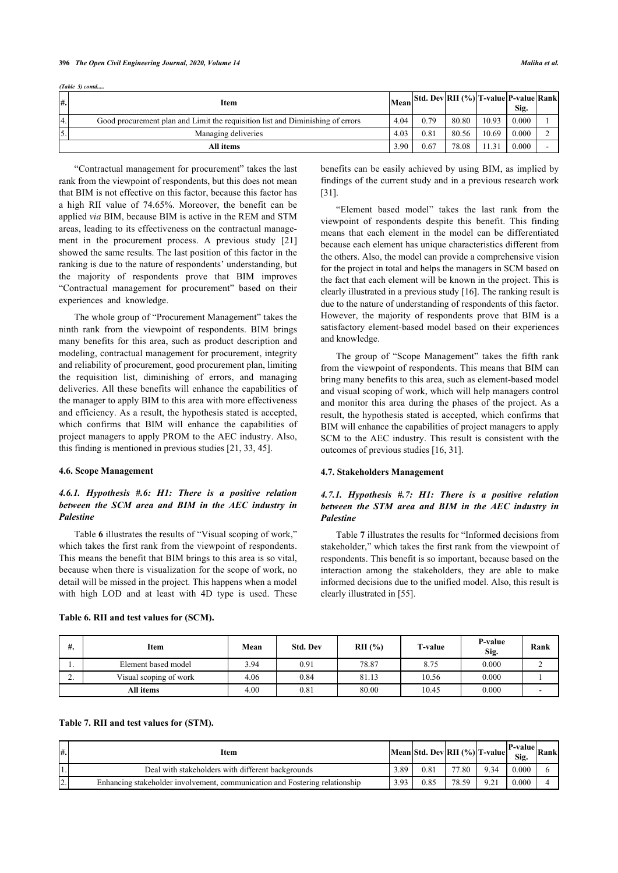*(Table 5) contd.....* 

|           | $ #$ . | Item                                                                           |      | Mean Std. Dev RII (%) T-value P-value Rank |       |       | Sig.  |  |
|-----------|--------|--------------------------------------------------------------------------------|------|--------------------------------------------|-------|-------|-------|--|
| 4.        |        | Good procurement plan and Limit the requisition list and Diminishing of errors | 4.04 | 0.79                                       | 80.80 | 10.93 | 0.000 |  |
| I٢<br>IJ. |        | Managing deliveries                                                            | 4.03 | 0.81                                       | 80.56 | 10.69 | 0.000 |  |
|           |        | All items                                                                      | 3.90 | 0.67                                       | 78.08 | 11.31 | 0.000 |  |

"Contractual management for procurement" takes the last rank from the viewpoint of respondents, but this does not mean that BIM is not effective on this factor, because this factor has a high RII value of 74.65%. Moreover, the benefit can be applied *via* BIM, because BIM is active in the REM and STM areas, leading to its effectiveness on the contractual management in the procurement process. A previous study[[21](#page-13-20)] showed the same results. The last position of this factor in the ranking is due to the nature of respondents' understanding, but the majority of respondents prove that BIM improves "Contractual management for procurement" based on their experiences and knowledge.

The whole group of "Procurement Management" takes the ninth rank from the viewpoint of respondents. BIM brings many benefits for this area, such as product description and modeling, contractual management for procurement, integrity and reliability of procurement, good procurement plan, limiting the requisition list, diminishing of errors, and managing deliveries. All these benefits will enhance the capabilities of the manager to apply BIM to this area with more effectiveness and efficiency. As a result, the hypothesis stated is accepted, which confirms that BIM will enhance the capabilities of project managers to apply PROM to the AEC industry. Also, this finding is mentioned in previous studies [\[21](#page-13-20), [33,](#page-13-36) [45](#page-14-1)].

# **4.6. Scope Management**

# *4.6.1. Hypothesis #.6: H1: There is a positive relation between the SCM area and BIM in the AEC industry in Palestine*

Table **[6](#page-9-0)** illustrates the results of "Visual scoping of work," which takes the first rank from the viewpoint of respondents. This means the benefit that BIM brings to this area is so vital, because when there is visualization for the scope of work, no detail will be missed in the project. This happens when a model with high LOD and at least with 4D type is used. These

<span id="page-9-0"></span>

| Table 6. RII and test values for (SCM). |  |  |  |  |  |  |
|-----------------------------------------|--|--|--|--|--|--|
|-----------------------------------------|--|--|--|--|--|--|

benefits can be easily achieved by using BIM, as implied by findings of the current study and in a previous research work [[31\]](#page-13-34).

"Element based model" takes the last rank from the viewpoint of respondents despite this benefit. This finding means that each element in the model can be differentiated because each element has unique characteristics different from the others. Also, the model can provide a comprehensive vision for the project in total and helps the managers in SCM based on the fact that each element will be known in the project. This is clearly illustrated in a previous study [[16\]](#page-13-15). The ranking result is due to the nature of understanding of respondents of this factor. However, the majority of respondents prove that BIM is a satisfactory element-based model based on their experiences and knowledge.

The group of "Scope Management" takes the fifth rank from the viewpoint of respondents. This means that BIM can bring many benefits to this area, such as element-based model and visual scoping of work, which will help managers control and monitor this area during the phases of the project. As a result, the hypothesis stated is accepted, which confirms that BIM will enhance the capabilities of project managers to apply SCM to the AEC industry. This result is consistent with the outcomes of previous studies [[16,](#page-13-15) [31](#page-13-34)].

# **4.7. Stakeholders Management**

# *4.7.1. Hypothesis #.7: H1: There is a positive relation between the STM area and BIM in the AEC industry in Palestine*

Table **[7](#page-9-1)** illustrates the results for "Informed decisions from stakeholder," which takes the first rank from the viewpoint of respondents. This benefit is so important, because based on the interaction among the stakeholders, they are able to make informed decisions due to the unified model. Also, this result is clearly illustrated in [\[55](#page-14-6)].

| #. | Item                   | Mean | <b>Std. Dev</b> | RII(%) | <b>T-value</b> | P-value<br>Sig. | Rank |
|----|------------------------|------|-----------------|--------|----------------|-----------------|------|
|    | Element based model    | 3.94 | 0.91            | 78.87  | 8.75           | 0.000           |      |
| ٠. | Visual scoping of work | 4.06 | 0.84            | 81.13  | 10.56          | 0.000           |      |
|    | All items              | 4.00 | 0.81            | 80.00  | 10.45          | 0.000           |      |

# <span id="page-9-1"></span>**Table 7. RII and test values for (STM).**

| $ #$ . | Item                                                                        |      | Mean Std. Dev RII (%) T-value |       |            | P-value<br>Sig. | Rank |
|--------|-----------------------------------------------------------------------------|------|-------------------------------|-------|------------|-----------------|------|
|        | Deal with stakeholders with different backgrounds                           | 3.89 | 0.81                          | 77.80 | 9.34       | 0.000           |      |
| $\sim$ | Enhancing stakeholder involvement, communication and Fostering relationship | 5.97 | 0.85                          | 78.59 | $Q^{\eta}$ | 0.000           |      |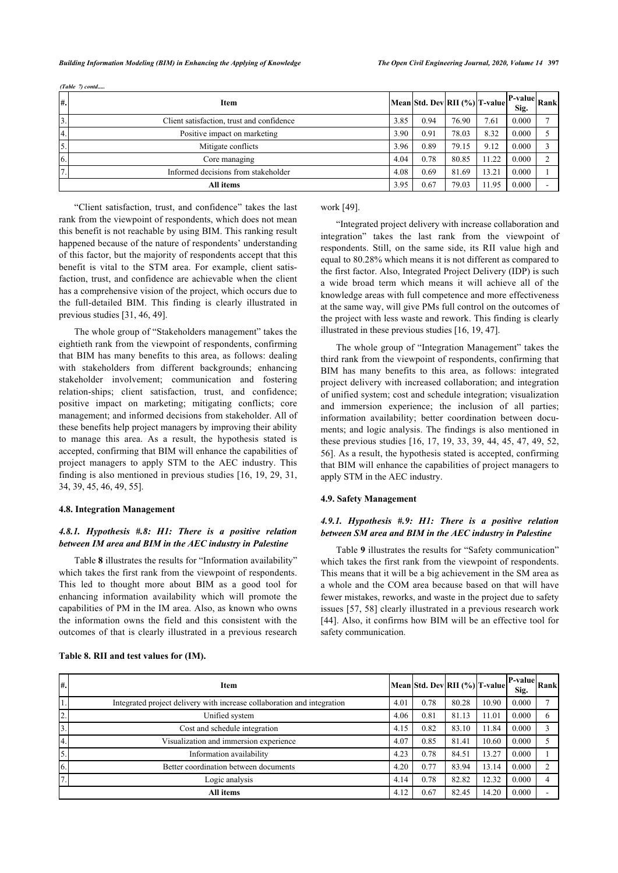| ₩.             | Item                                      |      | Mean Std. Dev RII (%) T-value |       |       | $ P-value $ Rank<br>Sig. |  |
|----------------|-------------------------------------------|------|-------------------------------|-------|-------|--------------------------|--|
| 3.             | Client satisfaction, trust and confidence | 3.85 | 0.94                          | 76.90 | 7.61  | 0.000                    |  |
| Α.             | Positive impact on marketing              | 3.90 | 0.91                          | 78.03 | 8.32  | 0.000                    |  |
| 5.             | Mitigate conflicts                        | 3.96 | 0.89                          | 79.15 | 9.12  | 0.000                    |  |
| 6.             | Core managing                             | 4.04 | 0.78                          | 80.85 | 11.22 | 0.000                    |  |
| $\overline{ }$ | Informed decisions from stakeholder       | 4.08 | 0.69                          | 81.69 | 13.2  | 0.000                    |  |
|                | All items                                 | 3.95 | 0.67                          | 79.03 | 11.95 | 0.000                    |  |

*(Table 7) contd.....* 

"Client satisfaction, trust, and confidence" takes the last rank from the viewpoint of respondents, which does not mean this benefit is not reachable by using BIM. This ranking result happened because of the nature of respondents' understanding of this factor, but the majority of respondents accept that this benefit is vital to the STM area. For example, client satisfaction, trust, and confidence are achievable when the client has a comprehensive vision of the project, which occurs due to the full-detailed BIM. This finding is clearly illustrated in previous studies [\[31](#page-13-34), [46,](#page-14-7) [49](#page-14-4)].

The whole group of "Stakeholders management" takes the eightieth rank from the viewpoint of respondents, confirming that BIM has many benefits to this area, as follows: dealing with stakeholders from different backgrounds; enhancing stakeholder involvement; communication and fostering relation-ships; client satisfaction, trust, and confidence; positive impact on marketing; mitigating conflicts; core management; and informed decisions from stakeholder. All of these benefits help project managers by improving their ability to manage this area. As a result, the hypothesis stated is accepted, confirming that BIM will enhance the capabilities of project managers to apply STM to the AEC industry. This finding is also mentioned in previous studies [\[16,](#page-13-15) [19](#page-13-18), [29,](#page-13-27) [31](#page-13-34), [34,](#page-13-37) [39](#page-13-29), [45,](#page-14-1) [46](#page-14-7), [49,](#page-14-4) [55](#page-14-6)].

# **4.8. Integration Management**

# *4.8.1. Hypothesis #.8: H1: There is a positive relation between IM area and BIM in the AEC industry in Palestine*

Table **[8](#page-10-0)** illustrates the results for "Information availability" which takes the first rank from the viewpoint of respondents. This led to thought more about BIM as a good tool for enhancing information availability which will promote the capabilities of PM in the IM area. Also, as known who owns the information owns the field and this consistent with the outcomes of that is clearly illustrated in a previous research

### work [[49\]](#page-14-4).

"Integrated project delivery with increase collaboration and integration" takes the last rank from the viewpoint of respondents. Still, on the same side, its RII value high and equal to 80.28% which means it is not different as compared to the first factor. Also, Integrated Project Delivery (IDP) is such a wide broad term which means it will achieve all of the knowledge areas with full competence and more effectiveness at the same way, will give PMs full control on the outcomes of the project with less waste and rework. This finding is clearly illustrated in these previous studies [[16,](#page-13-15) [19](#page-13-18), [47\]](#page-14-2).

The whole group of "Integration Management" takes the third rank from the viewpoint of respondents, confirming that BIM has many benefits to this area, as follows: integrated project delivery with increased collaboration; and integration of unified system; cost and schedule integration; visualization and immersion experience; the inclusion of all parties; information availability; better coordination between documents; and logic analysis. The findings is also mentioned in these previous studies [\[16](#page-13-15), [17,](#page-13-16) [19](#page-13-18), [33,](#page-13-36) [39](#page-13-29), [44,](#page-14-0) [45](#page-14-1), [47](#page-14-2), [49,](#page-14-4) [52](#page-14-8), [56](#page-14-9)]. As a result, the hypothesis stated is accepted, confirming that BIM will enhance the capabilities of project managers to apply STM in the AEC industry.

#### **4.9. Safety Management**

# *4.9.1. Hypothesis #.9: H1: There is a positive relation between SM area and BIM in the AEC industry in Palestine*

Table **[9](#page-11-0)** illustrates the results for "Safety communication" which takes the first rank from the viewpoint of respondents. This means that it will be a big achievement in the SM area as a whole and the COM area because based on that will have fewer mistakes, reworks, and waste in the project due to safety issues [[57](#page-14-10), [58\]](#page-14-1) clearly illustrated in a previous research work [[44](#page-14-0)]. Also, it confirms how BIM will be an effective tool for safety communication.

| #.               | Item                                                                    |      | Mean Std. Dev RII (%) T-value |       |       | <b>P-valuel.</b><br>Sig. | Rank |
|------------------|-------------------------------------------------------------------------|------|-------------------------------|-------|-------|--------------------------|------|
|                  | Integrated project delivery with increase collaboration and integration | 4.01 | 0.78                          | 80.28 | 10.90 | 0.000                    |      |
| $\overline{2}$ . | Unified system                                                          | 4.06 | 0.81                          | 81.13 | 11.01 | 0.000                    |      |
| 3.               | Cost and schedule integration                                           | 4.15 | 0.82                          | 83.10 | 11.84 | 0.000                    |      |
| 4.               | Visualization and immersion experience                                  | 4.07 | 0.85                          | 81.41 | 10.60 | 0.000                    |      |
| 5.               | Information availability                                                | 4.23 | 0.78                          | 84.51 | 13.27 | 0.000                    |      |
| 6.               | Better coordination between documents                                   | 4.20 | 0.77                          | 83.94 | 13.14 | 0.000                    |      |
| 7.               | Logic analysis                                                          | 4.14 | 0.78                          | 82.82 | 12.32 | 0.000                    |      |
|                  | All items                                                               | 4.12 | 0.67                          | 82.45 | 14.20 | 0.000                    |      |

#### <span id="page-10-0"></span>**Table 8. RII and test values for (IM).**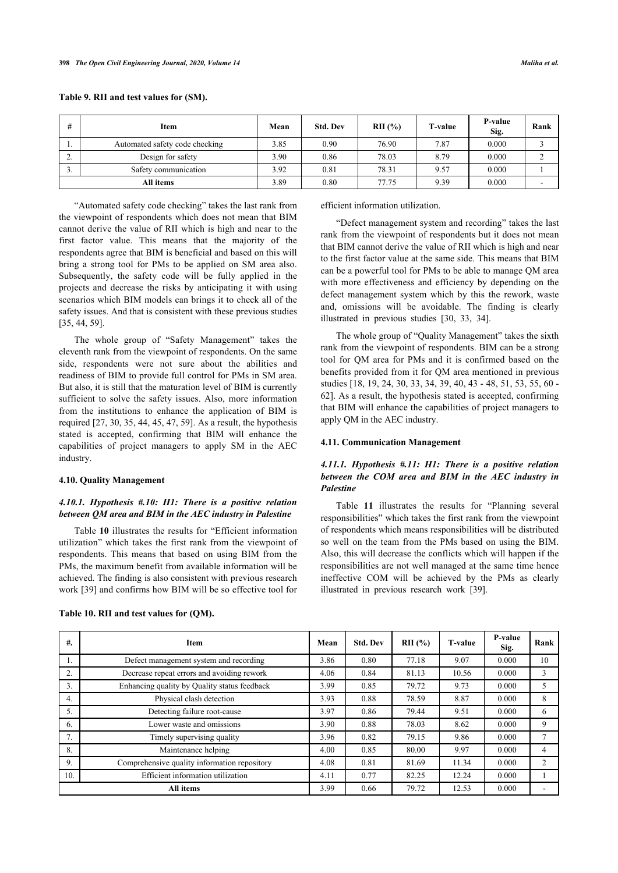| #         | Item                           | Mean | <b>Std. Dev</b> | RII(%) | <b>T-value</b> | P-value<br>Sig. | Rank |
|-----------|--------------------------------|------|-----------------|--------|----------------|-----------------|------|
| . .       | Automated safety code checking | 3.85 | 0.90            | 76.90  | 7.87           | 0.000           |      |
| <u>.</u>  | Design for safety              | 3.90 | 0.86            | 78.03  | 8.79           | 0.000           |      |
|           | Safety communication           | 3.92 | 0.81            | 78.31  | 9.57           | 0.000           |      |
| All items |                                | 3.89 | 0.80            | 77.75  | 9.39           | 0.000           |      |

<span id="page-11-0"></span>**Table 9. RII and test values for (SM).**

"Automated safety code checking" takes the last rank from the viewpoint of respondents which does not mean that BIM cannot derive the value of RII which is high and near to the first factor value. This means that the majority of the respondents agree that BIM is beneficial and based on this will bring a strong tool for PMs to be applied on SM area also. Subsequently, the safety code will be fully applied in the projects and decrease the risks by anticipating it with using scenarios which BIM models can brings it to check all of the safety issues. And that is consistent with these previous studies [[35,](#page-13-38) [44](#page-14-0), [59\]](#page-14-11).

The whole group of "Safety Management" takes the eleventh rank from the viewpoint of respondents. On the same side, respondents were not sure about the abilities and readiness of BIM to provide full control for PMs in SM area. But also, it is still that the maturation level of BIM is currently sufficient to solve the safety issues. Also, more information from the institutions to enhance the application of BIM is required [\[27](#page-13-1), [30,](#page-13-28) [35,](#page-13-38) [44](#page-14-0), [45,](#page-14-1) [47](#page-14-2), [59](#page-14-11)]. As a result, the hypothesis stated is accepted, confirming that BIM will enhance the capabilities of project managers to apply SM in the AEC industry.

#### **4.10. Quality Management**

# *4.10.1. Hypothesis #.10: H1: There is a positive relation between QM area and BIM in the AEC industry in Palestine*

Table **[10](#page-11-1)** illustrates the results for "Efficient information utilization" which takes the first rank from the viewpoint of respondents. This means that based on using BIM from the PMs, the maximum benefit from available information will be achieved. The finding is also consistent with previous research work [\[39](#page-13-29)] and confirms how BIM will be so effective tool for

<span id="page-11-1"></span>

| Table 10. RII and test values for (QM). |  |  |  |  |
|-----------------------------------------|--|--|--|--|
|-----------------------------------------|--|--|--|--|

efficient information utilization.

"Defect management system and recording" takes the last rank from the viewpoint of respondents but it does not mean that BIM cannot derive the value of RII which is high and near to the first factor value at the same side. This means that BIM can be a powerful tool for PMs to be able to manage QM area with more effectiveness and efficiency by depending on the defect management system which by this the rework, waste and, omissions will be avoidable. The finding is clearly illustrated in previous studies[[30,](#page-13-28) [33](#page-13-36), [34\]](#page-13-37).

The whole group of "Quality Management" takes the sixth rank from the viewpoint of respondents. BIM can be a strong tool for QM area for PMs and it is confirmed based on the benefits provided from it for QM area mentioned in previous studies [[18](#page-13-17), [19](#page-13-18), [24](#page-13-23), [30,](#page-13-28) [33,](#page-13-36) [34,](#page-13-37) [39,](#page-13-29) [40,](#page-13-30) [43](#page-14-12) - [48,](#page-14-3) [51](#page-14-13), [53](#page-14-14), [55](#page-14-6), [60](#page-14-15) - [62](#page-14-16)]. As a result, the hypothesis stated is accepted, confirming that BIM will enhance the capabilities of project managers to apply QM in the AEC industry.

#### **4.11. Communication Management**

# *4.11.1. Hypothesis #.11: H1: There is a positive relation between the COM area and BIM in the AEC industry in Palestine*

Table **[11](#page-12-0)** illustrates the results for "Planning several responsibilities" which takes the first rank from the viewpoint of respondents which means responsibilities will be distributed so well on the team from the PMs based on using the BIM. Also, this will decrease the conflicts which will happen if the responsibilities are not well managed at the same time hence ineffective COM will be achieved b[y t](#page-13-29)he PMs as clearly illustrated in previous research work [39].

| $#$ .            | Item                                         | Mean | <b>Std. Dev</b> | RII(%) | <b>T-value</b> | P-value<br>Sig. | Rank |
|------------------|----------------------------------------------|------|-----------------|--------|----------------|-----------------|------|
| 1.               | Defect management system and recording       | 3.86 | 0.80            | 77.18  | 9.07           | 0.000           | 10   |
| 2.               | Decrease repeat errors and avoiding rework   | 4.06 | 0.84            | 81.13  | 10.56          | 0.000           | 3    |
| 3.               | Enhancing quality by Quality status feedback | 3.99 | 0.85            | 79.72  | 9.73           | 0.000           | 5    |
| $\overline{4}$ . | Physical clash detection                     | 3.93 | 0.88            | 78.59  | 8.87           | 0.000           | 8    |
| 5.               | Detecting failure root-cause                 | 3.97 | 0.86            | 79.44  | 9.51           | 0.000           | 6    |
| 6.               | Lower waste and omissions                    | 3.90 | 0.88            | 78.03  | 8.62           | 0.000           | 9    |
| 7.               | Timely supervising quality                   | 3.96 | 0.82            | 79.15  | 9.86           | 0.000           | 7    |
| 8.               | Maintenance helping                          | 4.00 | 0.85            | 80.00  | 9.97           | 0.000           | 4    |
| 9.               | Comprehensive quality information repository | 4.08 | 0.81            | 81.69  | 11.34          | 0.000           | 2    |
| 10.              | Efficient information utilization            | 4.11 | 0.77            | 82.25  | 12.24          | 0.000           |      |
|                  | All items                                    | 3.99 | 0.66            | 79.72  | 12.53          | 0.000           |      |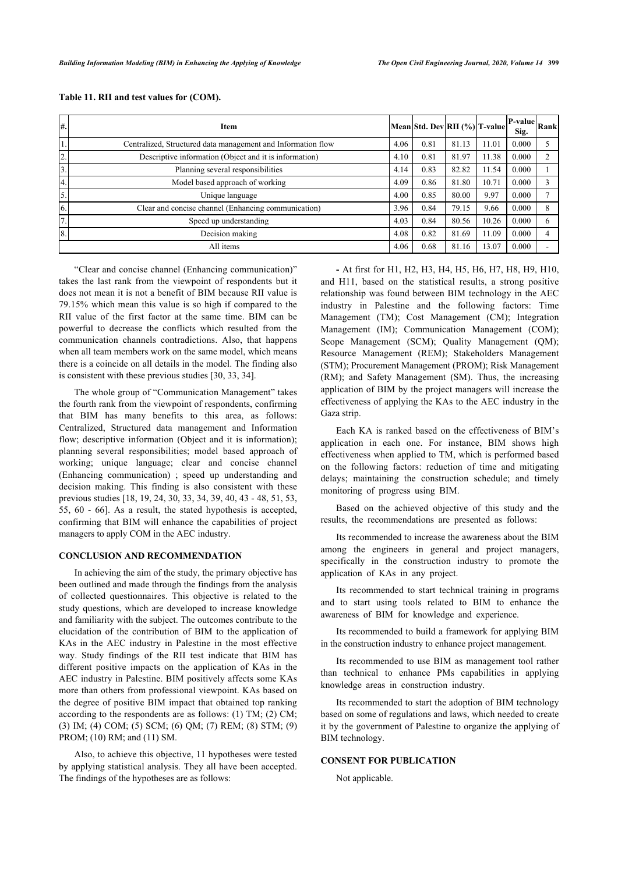| ₩.             | Item                                                         |      | Mean Std. Dev RII (%) T-value |       |       | $ P-value $ Rank<br>Sig. |  |
|----------------|--------------------------------------------------------------|------|-------------------------------|-------|-------|--------------------------|--|
|                | Centralized, Structured data management and Information flow | 4.06 | 0.81                          | 81.13 | 11.01 | 0.000                    |  |
| $\overline{2}$ | Descriptive information (Object and it is information)       | 4.10 | 0.81                          | 81.97 | 11.38 | 0.000                    |  |
| 3.             | Planning several responsibilities                            | 4.14 | 0.83                          | 82.82 | 11.54 | 0.000                    |  |
| 4.             | Model based approach of working                              | 4.09 | 0.86                          | 81.80 | 10.71 | 0.000                    |  |
| 5.             | Unique language                                              | 4.00 | 0.85                          | 80.00 | 9.97  | 0.000                    |  |
| 6.             | Clear and concise channel (Enhancing communication)          | 3.96 | 0.84                          | 79.15 | 9.66  | 0.000                    |  |
| 7.             | Speed up understanding                                       | 4.03 | 0.84                          | 80.56 | 10.26 | 0.000                    |  |
| 8.             | Decision making                                              | 4.08 | 0.82                          | 81.69 | 11.09 | 0.000                    |  |
|                | All items                                                    | 4.06 | 0.68                          | 81.16 | 13.07 | 0.000                    |  |

# <span id="page-12-0"></span>**Table 11. RII and test values for (COM).**

"Clear and concise channel (Enhancing communication)" takes the last rank from the viewpoint of respondents but it does not mean it is not a benefit of BIM because RII value is 79.15% which mean this value is so high if compared to the RII value of the first factor at the same time. BIM can be powerful to decrease the conflicts which resulted from the communication channels contradictions. Also, that happens when all team members work on the same model, which means there is a coincide on all details in the model. The finding also is consistent with these previous studies [[30,](#page-13-28) [33](#page-13-36), [34\]](#page-13-37).

The whole group of "Communication Management" takes the fourth rank from the viewpoint of respondents, confirming that BIM has many benefits to this area, as follows: Centralized, Structured data management and Information flow; descriptive information (Object and it is information); planning several responsibilities; model based approach of working; unique language; clear and concise channel (Enhancing communication) ; speed up understanding and decision making. This finding is also consistent with these previous studies [[18](#page-13-17), [19,](#page-13-18) [24,](#page-13-23) [30](#page-13-28), [33,](#page-13-36) [34,](#page-13-37) [39](#page-13-29), [40](#page-13-30), [43](#page-14-12) - [48,](#page-14-3) [51](#page-14-13), [53](#page-14-14), [55,](#page-14-6) [60](#page-14-15) - [66\]](#page-14-14). As a result, the stated hypothesis is accepted, confirming that BIM will enhance the capabilities of project managers to apply COM in the AEC industry.

# **CONCLUSION AND RECOMMENDATION**

In achieving the aim of the study, the primary objective has been outlined and made through the findings from the analysis of collected questionnaires. This objective is related to the study questions, which are developed to increase knowledge and familiarity with the subject. The outcomes contribute to the elucidation of the contribution of BIM to the application of KAs in the AEC industry in Palestine in the most effective way. Study findings of the RII test indicate that BIM has different positive impacts on the application of KAs in the AEC industry in Palestine. BIM positively affects some KAs more than others from professional viewpoint. KAs based on the degree of positive BIM impact that obtained top ranking according to the respondents are as follows: (1) TM; (2) CM; (3) IM; (4) COM; (5) SCM; (6) QM; (7) REM; (8) STM; (9) PROM; (10) RM; and (11) SM.

Also, to achieve this objective, 11 hypotheses were tested by applying statistical analysis. They all have been accepted. The findings of the hypotheses are as follows:

**-** At first for H1, H2, H3, H4, H5, H6, H7, H8, H9, H10, and H11, based on the statistical results, a strong positive relationship was found between BIM technology in the AEC industry in Palestine and the following factors: Time Management (TM); Cost Management (CM); Integration Management (IM); Communication Management (COM); Scope Management (SCM); Quality Management (QM); Resource Management (REM); Stakeholders Management (STM); Procurement Management (PROM); Risk Management (RM); and Safety Management (SM). Thus, the increasing application of BIM by the project managers will increase the effectiveness of applying the KAs to the AEC industry in the Gaza strip.

Each KA is ranked based on the effectiveness of BIM's application in each one. For instance, BIM shows high effectiveness when applied to TM, which is performed based on the following factors: reduction of time and mitigating delays; maintaining the construction schedule; and timely monitoring of progress using BIM.

Based on the achieved objective of this study and the results, the recommendations are presented as follows:

Its recommended to increase the awareness about the BIM among the engineers in general and project managers, specifically in the construction industry to promote the application of KAs in any project.

Its recommended to start technical training in programs and to start using tools related to BIM to enhance the awareness of BIM for knowledge and experience.

Its recommended to build a framework for applying BIM in the construction industry to enhance project management.

Its recommended to use BIM as management tool rather than technical to enhance PMs capabilities in applying knowledge areas in construction industry.

Its recommended to start the adoption of BIM technology based on some of regulations and laws, which needed to create it by the government of Palestine to organize the applying of BIM technology.

# **CONSENT FOR PUBLICATION**

Not applicable.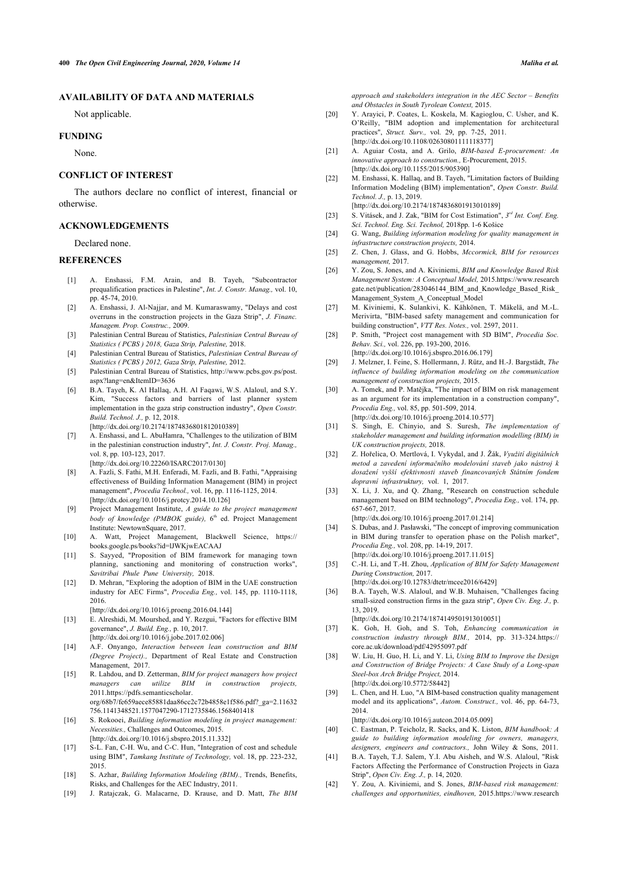# <span id="page-13-19"></span>**AVAILABILITY OF DATA AND MATERIALS**

Not applicable.

### <span id="page-13-20"></span>**FUNDING**

None.

# <span id="page-13-21"></span>**CONFLICT OF INTEREST**

The authors declare no conflict of interest, financial or otherwise.

# <span id="page-13-23"></span><span id="page-13-22"></span>**ACKNOWLEDGEMENTS**

Declared none.

# <span id="page-13-25"></span><span id="page-13-24"></span><span id="page-13-0"></span>**REFERENCES**

- [1] A. Enshassi, F.M. Arain, and B. Tayeh, "Subcontractor prequalification practices in Palestine", *Int. J. Constr. Manag.,* vol. 10, pp. 45-74, 2010.
- <span id="page-13-1"></span>[2] A. Enshassi, J. Al-Najjar, and M. Kumaraswamy, "Delays and cost overruns in the construction projects in the Gaza Strip", *J. Financ. Managem. Prop. Construc.,* 2009.
- <span id="page-13-26"></span><span id="page-13-2"></span>[3] Palestinian Central Bureau of Statistics, *Palestinian Central Bureau of Statistics ( PCBS ) 2018, Gaza Strip, Palestine,* 2018.
- <span id="page-13-27"></span><span id="page-13-3"></span>[4] Palestinian Central Bureau of Statistics, *Palestinian Central Bureau of Statistics ( PCBS ) 2012, Gaza Strip, Palestine,* 2012.
- <span id="page-13-4"></span>[5] Palestinian Central Bureau of Statistics, http://www.pcbs.gov.ps/post. aspx?lang=en&ItemID=3636
- <span id="page-13-28"></span><span id="page-13-5"></span>[6] B.A. Tayeh, K. Al Hallaq, A.H. Al Faqawi, W.S. Alaloul, and S.Y. Kim, "Success factors and barriers of last planner system implementation in the gaza strip construction industry", *Open Constr. Build. Technol. J.,* p. 12, 2018. [\[http://dx.doi.org/10.2174/1874836801812010389\]](http://dx.doi.org/10.2174/1874836801812010389)
- <span id="page-13-34"></span><span id="page-13-6"></span>[7] A. Enshassi, and L. AbuHamra, "Challenges to the utilization of BIM in the palestinian construction industry", *Int. J. Constr. Proj. Manag.,*
	- vol. 8, pp. 103-123, 2017. [\[http://dx.doi.org/10.22260/ISARC2017/0130](http://dx.doi.org/10.22260/ISARC2017/0130)]
- <span id="page-13-36"></span><span id="page-13-7"></span>[8] A. Fazli, S. Fathi, M.H. Enferadi, M. Fazli, and B. Fathi, "Appraising effectiveness of Building Information Management (BIM) in project management", *Procedia Technol.,* vol. 16, pp. 1116-1125, 2014. [\[http://dx.doi.org/10.1016/j.protcy.2014.10.126\]](http://dx.doi.org/10.1016/j.protcy.2014.10.126)
- <span id="page-13-8"></span>[9] Project Management Institute, *A guide to the project management* body of knowledge (PMBOK guide), 6<sup>th</sup> ed. Project Management Institute: NewtownSquare, 2017.
- <span id="page-13-37"></span><span id="page-13-9"></span>[10] A. Watt, Project Management, Blackwell Science, https:// books.google.ps/books?id=lJWKjwEACAAJ
- <span id="page-13-38"></span><span id="page-13-10"></span>[11] S. Sayyed, "Proposition of BIM framework for managing town planning, sanctioning and monitoring of construction works", *Savitribai Phule Pune University,* 2018.
- <span id="page-13-11"></span>[12] D. Mehran, "Exploring the adoption of BIM in the UAE construction industry for AEC Firms", *Procedia Eng.,* vol. 145, pp. 1110-1118, 2016.
	- [\[http://dx.doi.org/10.1016/j.proeng.2016.04.144](http://dx.doi.org/10.1016/j.proeng.2016.04.144)]
- <span id="page-13-35"></span><span id="page-13-12"></span>[13] E. Alreshidi, M. Mourshed, and Y. Rezgui, "Factors for effective BIM governance", *J. Build. Eng.,* p. 10, 2017. [\[http://dx.doi.org/10.1016/j.jobe.2017.02.006\]](http://dx.doi.org/10.1016/j.jobe.2017.02.006)
- <span id="page-13-32"></span><span id="page-13-13"></span>[14] A.F. Onyango, *Interaction between lean construction and BIM (Degree Project).,* Department of Real Estate and Construction Management, 2017.
- <span id="page-13-29"></span><span id="page-13-14"></span>[15] R. Lahdou, and D. Zetterman, *BIM for project managers how project managers can utilize BIM in construction projects,* 2011.https://pdfs.semanticscholar. org/68b7/fe659aece85881daa86cc2c72b4858e1f586.pdf?\_ga=2.11632 756.1141348521.1577047290-1712735846.1568401418
- <span id="page-13-30"></span><span id="page-13-15"></span>[16] S. Rokooei, *Building information modeling in project management: Necessities.,* Challenges and Outcomes, 2015. [\[http://dx.doi.org/10.1016/j.sbspro.2015.11.332\]](http://dx.doi.org/10.1016/j.sbspro.2015.11.332)
- <span id="page-13-31"></span><span id="page-13-16"></span>[17] S-L. Fan, C-H. Wu, and C-C. Hun, "Integration of cost and schedule using BIM", *Tamkang Institute of Technology,* vol. 18, pp. 223-232, 2015.
- <span id="page-13-33"></span><span id="page-13-17"></span>[18] S. Azhar, *Building Information Modeling (BIM).,* Trends, Benefits, Risks, and Challenges for the AEC Industry, 2011.
- <span id="page-13-18"></span>[19] J. Ratajczak, G. Malacarne, D. Krause, and D. Matt, *The BIM*

*approach and stakeholders integration in the AEC Sector – Benefits and Obstacles in South Tyrolean Context,* 2015.

- [20] Y. Arayici, P. Coates, L. Koskela, M. Kagioglou, C. Usher, and K. O'Reilly, "BIM adoption and implementation for architectural practices", *Struct. Surv.,* vol. 29, pp. 7-25, 2011. [\[http://dx.doi.org/10.1108/02630801111118377\]](http://dx.doi.org/10.1108/02630801111118377)
- [21] A. Aguiar Costa, and A. Grilo, *BIM-based E-procurement: An innovative approach to construction.,* E-Procurement, 2015. [\[http://dx.doi.org/10.1155/2015/905390](http://dx.doi.org/10.1155/2015/905390)]
- [22] M. Enshassi, K. Hallaq, and B. Tayeh, "Limitation factors of Building Information Modeling (BIM) implementation", *Open Constr. Build. Technol. J.,* p. 13, 2019. [\[http://dx.doi.org/10.2174/1874836801913010189\]](http://dx.doi.org/10.2174/1874836801913010189)
- [23] S. Vitásek, and J. Zak, "BIM for Cost Estimation",  $3^{rd}$  Int. Conf. Eng.
- *Sci. Technol. Eng. Sci. Technol,* 2018pp. 1-6 Košice [24] G. Wang, *Building information modeling for quality management in*
- *infrastructure construction projects,* 2014.
- [25] Z. Chen, J. Glass, and G. Hobbs, *Mccormick, BIM for resources management,* 2017.
- [26] Y. Zou, S. Jones, and A. Kiviniemi, *BIM and Knowledge Based Risk Management System: A Conceptual Model,* 2015.https://www.research gate.net/publication/283046144\_BIM\_and\_Knowledge\_Based\_Risk\_ Management\_System\_A\_Conceptual\_Model
- [27] M. Kiviniemi, K. Sulankivi, K. Kähkönen, T. Mäkelä, and M.-L. Merivirta, "BIM-based safety management and communication for building construction", *VTT Res. Notes.,* vol. 2597, 2011.
- [28] P. Smith, "Project cost management with 5D BIM", *Procedia Soc. Behav. Sci.,* vol. 226, pp. 193-200, 2016. [\[http://dx.doi.org/10.1016/j.sbspro.2016.06.179](http://dx.doi.org/10.1016/j.sbspro.2016.06.179)]
- [29] J. Melzner, I. Feine, S. Hollermann, J. Rütz, and H.-J. Bargstädt, *The influence of building information modeling on the communication management of construction projects,* 2015.
- [30] A. Tomek, and P. Matějka, "The impact of BIM on risk management as an argument for its implementation in a construction company", *Procedia Eng.,* vol. 85, pp. 501-509, 2014.
- [\[http://dx.doi.org/10.1016/j.proeng.2014.10.577](http://dx.doi.org/10.1016/j.proeng.2014.10.577)]
- [31] S. Singh, E. Chinyio, and S. Suresh, *The implementation of stakeholder management and building information modelling (BIM) in UK construction projects,* 2018.
- [32] Z. Hořelica, O. Mertlová, I. Vykydal, and J. Žák, *Využití digitálních metod a zavedení informačního modelování staveb jako nástroj k dosažení vyšší efektivnosti staveb financovaných Státním fondem dopravní infrastruktury,* vol. 1, 2017.
- [33] X. Li, J. Xu, and Q. Zhang, "Research on construction schedule management based on BIM technology", *Procedia Eng.,* vol. 174, pp. 657-667, 2017.

[\[http://dx.doi.org/10.1016/j.proeng.2017.01.214](http://dx.doi.org/10.1016/j.proeng.2017.01.214)]

- [34] S. Dubas, and J. Pasławski, "The concept of improving communication in BIM during transfer to operation phase on the Polish market", *Procedia Eng.,* vol. 208, pp. 14-19, 2017.
	- [\[http://dx.doi.org/10.1016/j.proeng.2017.11.015](http://dx.doi.org/10.1016/j.proeng.2017.11.015)]
- [35] C.-H. Li, and T.-H. Zhou, *Application of BIM for Safety Management During Construction,* 2017.

[\[http://dx.doi.org/10.12783/dtetr/mcee2016/6429](http://dx.doi.org/10.12783/dtetr/mcee2016/6429)] [36] B.A. Tayeh, W.S. Alaloul, and W.B. Muhaisen, "Challenges facing

small-sized construction firms in the gaza strip", *Open Civ. Eng. J.,* p. 13, 2019.

[\[http://dx.doi.org/10.2174/1874149501913010051\]](http://dx.doi.org/10.2174/1874149501913010051)

- [37] K. Goh, H. Goh, and S. Toh, *Enhancing communication in construction industry through BIM.,* 2014, pp. 313-324.https:// core.ac.uk/download/pdf/42955097.pdf
- [38] W. Liu, H. Guo, H. Li, and Y. Li, *Using BIM to Improve the Design and Construction of Bridge Projects: A Case Study of a Long-span Steel-box Arch Bridge Project,* 2014. [\[http://dx.doi.org/10.5772/58442\]](http://dx.doi.org/10.5772/58442)
- [39] L. Chen, and H. Luo, "A BIM-based construction quality management model and its applications", *Autom. Construct.,* vol. 46, pp. 64-73, 2014.

[\[http://dx.doi.org/10.1016/j.autcon.2014.05.009\]](http://dx.doi.org/10.1016/j.autcon.2014.05.009)

- [40] C. Eastman, P. Teicholz, R. Sacks, and K. Liston, *BIM handbook: A guide to building information modeling for owners, managers, designers, engineers and contractors.,* John Wiley & Sons, 2011.
- [41] B.A. Tayeh, T.J. Salem, Y.I. Abu Aisheh, and W.S. Alaloul, "Risk Factors Affecting the Performance of Construction Projects in Gaza Strip", *Open Civ. Eng. J.,* p. 14, 2020.
- [42] Y. Zou, A. Kiviniemi, and S. Jones, *BIM-based risk management: challenges and opportunities, eindhoven,* 2015.https://www.research